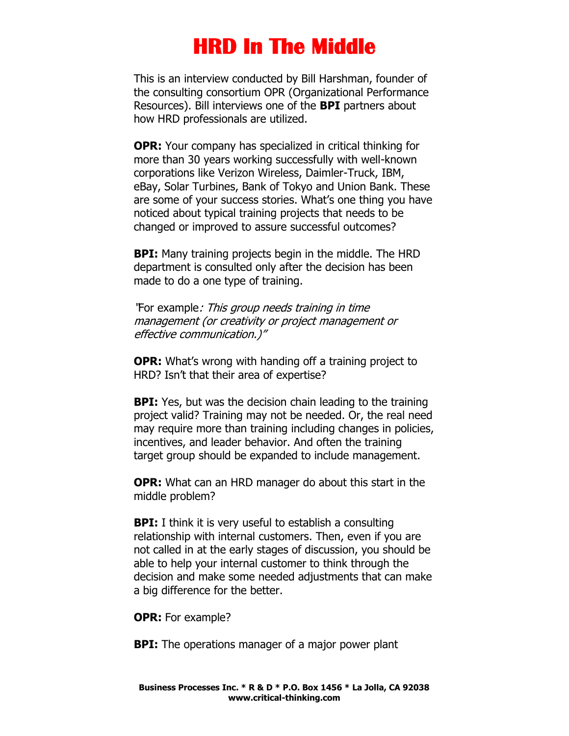## **HRD In The Middle**

This is an interview conducted by Bill Harshman, founder of the consulting consortium OPR (Organizational Performance Resources). Bill interviews one of the **BPI** partners about how HRD professionals are utilized.

**OPR:** Your company has specialized in critical thinking for more than 30 years working successfully with well-known corporations like Verizon Wireless, Daimler-Truck, IBM, eBay, Solar Turbines, Bank of Tokyo and Union Bank. These are some of your success stories. What's one thing you have noticed about typical training projects that needs to be changed or improved to assure successful outcomes?

**BPI:** Many training projects begin in the middle. The HRD department is consulted only after the decision has been made to do a one type of training.

"For example: This group needs training in time management (or creativity or project management or effective communication.)"

**OPR:** What's wrong with handing off a training project to HRD? Isn't that their area of expertise?

**BPI:** Yes, but was the decision chain leading to the training project valid? Training may not be needed. Or, the real need may require more than training including changes in policies, incentives, and leader behavior. And often the training target group should be expanded to include management.

**OPR:** What can an HRD manager do about this start in the middle problem?

**BPI:** I think it is very useful to establish a consulting relationship with internal customers. Then, even if you are not called in at the early stages of discussion, you should be able to help your internal customer to think through the decision and make some needed adjustments that can make a big difference for the better.

**OPR:** For example?

**BPI:** The operations manager of a major power plant